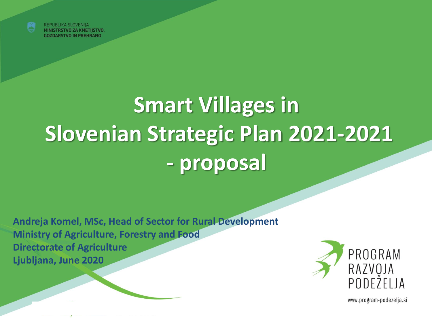

REPUBLIKA SLOVENIJA MINISTRSTVO ZA KMETIJSTVO, **GOZDARSTVO IN PREHRANO** 

# **Smart Villages in Slovenian Strategic Plan 2021-2021 - proposal**

**Andreja Komel, MSc, Head of Sector for Rural Development Ministry of Agriculture, Forestry and Food Directorate of Agriculture Ljubljana, June 2020**



www.program-podezelja.si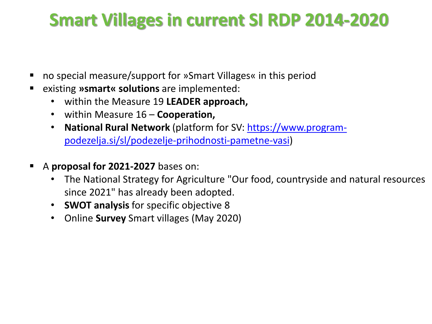# **Smart Villages in current SI RDP 2014-2020**

- no special measure/support for »Smart Villages« in this period
- existing **»smart« solutions** are implemented:
	- within the Measure 19 **LEADER approach,**
	- within Measure 16 **Cooperation,**
	- **National Rural Network** (platform for SV: https://www.program[podezelja.si/sl/podezelje-prihodnosti-pametne-vasi\)](https://www.program-podezelja.si/sl/podezelje-prihodnosti-pametne-vasi)
- A **proposal for 2021-2027** bases on:
	- The National Strategy for Agriculture "Our food, countryside and natural resources since 2021" has already been adopted.
	- **SWOT analysis** for specific objective 8
	- Online **Survey** Smart villages (May 2020)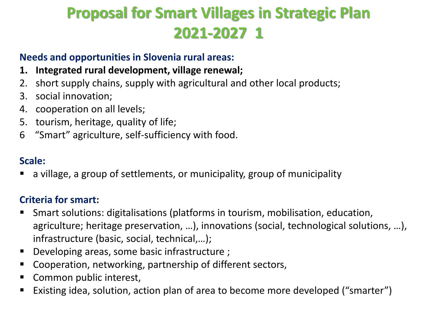# **Proposal for Smart Villages in Strategic Plan 2021-2027 1**

#### **Needs and opportunities in Slovenia rural areas:**

- **1. Integrated rural development, village renewal;**
- 2. short supply chains, supply with agricultural and other local products;
- 3. social innovation;
- 4. cooperation on all levels;
- 5. tourism, heritage, quality of life;
- 6 "Smart" agriculture, self-sufficiency with food.

#### **Scale:**

a village, a group of settlements, or municipality, group of municipality

#### **Criteria for smart:**

- Smart solutions: digitalisations (platforms in tourism, mobilisation, education, agriculture; heritage preservation, …), innovations (social, technological solutions, …), infrastructure (basic, social, technical,…);
- Developing areas, some basic infrastructure ;
- Cooperation, networking, partnership of different sectors,
- Common public interest,
- Existing idea, solution, action plan of area to become more developed ("smarter")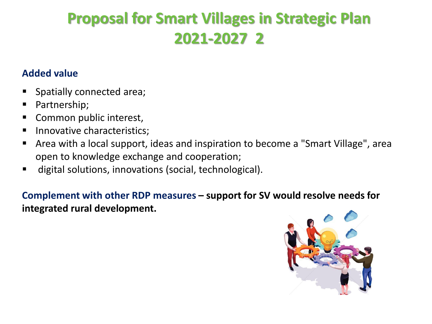### **Proposal for Smart Villages in Strategic Plan 2021-2027 2**

#### **Added value**

- Spatially connected area;
- Partnership;
- Common public interest,
- Innovative characteristics;
- Area with a local support, ideas and inspiration to become a "Smart Village", area open to knowledge exchange and cooperation;
- digital solutions, innovations (social, technological).

**Complement with other RDP measures – support for SV would resolve needs for integrated rural development.**

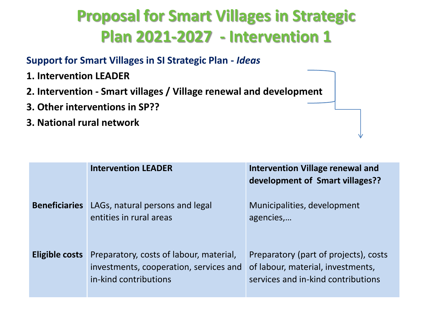# **Proposal for Smart Villages in Strategic Plan 2021-2027 - Intervention 1**

#### **Support for Smart Villages in SI Strategic Plan -** *Ideas*

- **1. Intervention LEADER**
- **2. Intervention - Smart villages / Village renewal and development**
- **3. Other interventions in SP??**
- **3. National rural network**

|                       | <b>Intervention LEADER</b>                                                                                 | <b>Intervention Village renewal and</b><br>development of Smart villages??                                       |
|-----------------------|------------------------------------------------------------------------------------------------------------|------------------------------------------------------------------------------------------------------------------|
| <b>Beneficiaries</b>  | LAGs, natural persons and legal<br>entities in rural areas                                                 | Municipalities, development<br>agencies,                                                                         |
| <b>Eligible costs</b> | Preparatory, costs of labour, material,<br>investments, cooperation, services and<br>in-kind contributions | Preparatory (part of projects), costs<br>of labour, material, investments,<br>services and in-kind contributions |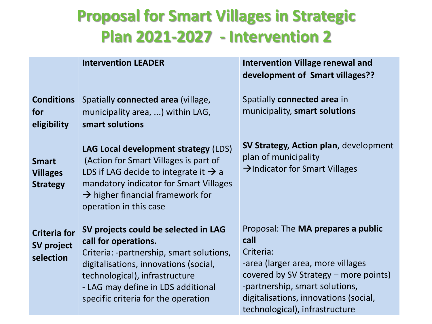# **Proposal for Smart Villages in Strategic Plan 2021-2027 - Intervention 2**

|                                                    | <b>Intervention LEADER</b>                                                                                                                                                                                                                                       | <b>Intervention Village renewal and</b><br>development of Smart villages??                                                                                                                                                                         |
|----------------------------------------------------|------------------------------------------------------------------------------------------------------------------------------------------------------------------------------------------------------------------------------------------------------------------|----------------------------------------------------------------------------------------------------------------------------------------------------------------------------------------------------------------------------------------------------|
| <b>Conditions</b><br>for<br>eligibility            | Spatially connected area (village,<br>municipality area, ) within LAG,<br>smart solutions                                                                                                                                                                        | Spatially connected area in<br>municipality, smart solutions                                                                                                                                                                                       |
| <b>Smart</b><br><b>Villages</b><br><b>Strategy</b> | LAG Local development strategy (LDS)<br>(Action for Smart Villages is part of<br>LDS if LAG decide to integrate it $\rightarrow$ a<br>mandatory indicator for Smart Villages<br>$\rightarrow$ higher financial framework for<br>operation in this case           | SV Strategy, Action plan, development<br>plan of municipality<br>$\rightarrow$ Indicator for Smart Villages                                                                                                                                        |
| <b>Criteria for</b><br>SV project<br>selection     | SV projects could be selected in LAG<br>call for operations.<br>Criteria: -partnership, smart solutions,<br>digitalisations, innovations (social,<br>technological), infrastructure<br>- LAG may define in LDS additional<br>specific criteria for the operation | Proposal: The MA prepares a public<br>call<br>Criteria:<br>-area (larger area, more villages<br>covered by SV Strategy – more points)<br>-partnership, smart solutions,<br>digitalisations, innovations (social,<br>technological), infrastructure |